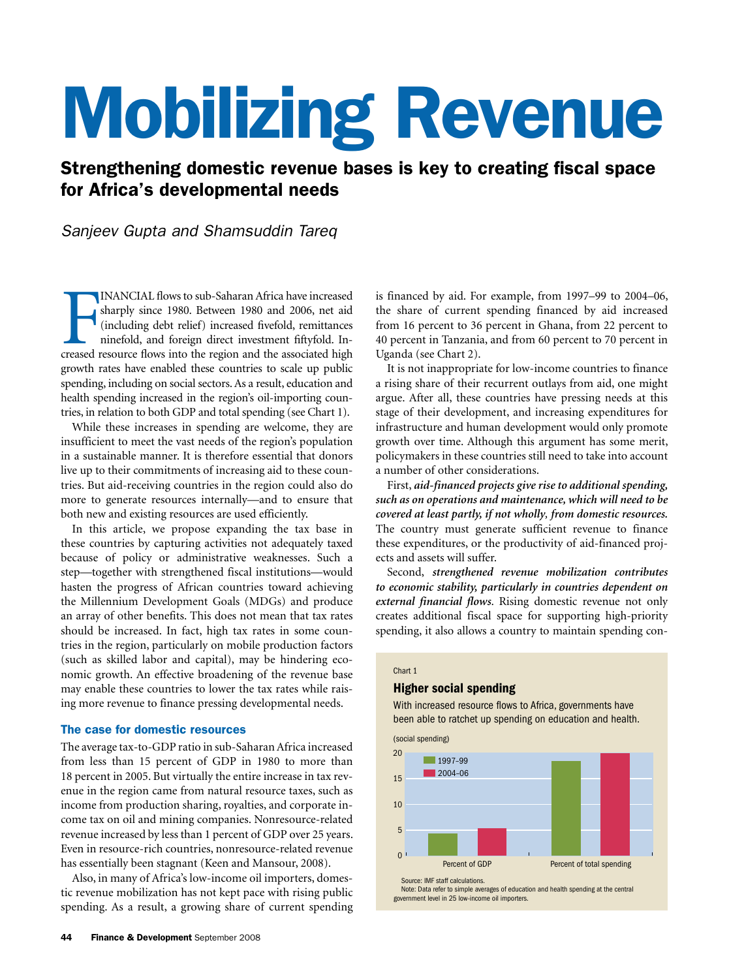# Mobilizing Revenue

# Strengthening domestic revenue bases is key to creating fiscal space for Africa's developmental needs

# *Sanjeev Gupta and Shamsuddin Tareq*

INANCIAL flows to sub-Saharan Africa have increased sharply since 1980. Between 1980 and 2006, net aid (including debt relief) increased fivefold, remittances ninefold, and foreign direct investment fiftyfold. Increased re INANCIAL flows to sub-Saharan Africa have increased sharply since 1980. Between 1980 and 2006, net aid (including debt relief) increased fivefold, remittances ninefold, and foreign direct investment fiftyfold. Ingrowth rates have enabled these countries to scale up public spending, including on social sectors. As a result, education and health spending increased in the region's oil-importing countries, in relation to both GDP and total spending (see Chart 1).

While these increases in spending are welcome, they are insufficient to meet the vast needs of the region's population in a sustainable manner. It is therefore essential that donors live up to their commitments of increasing aid to these countries. But aid-receiving countries in the region could also do more to generate resources internally—and to ensure that both new and existing resources are used efficiently.

In this article, we propose expanding the tax base in these countries by capturing activities not adequately taxed because of policy or administrative weaknesses. Such a step—together with strengthened fiscal institutions—would hasten the progress of African countries toward achieving the Millennium Development Goals (MDGs) and produce an array of other benefits. This does not mean that tax rates should be increased. In fact, high tax rates in some countries in the region, particularly on mobile production factors (such as skilled labor and capital), may be hindering economic growth. An effective broadening of the revenue base may enable these countries to lower the tax rates while raising more revenue to finance pressing developmental needs.

# The case for domestic resources

The average tax-to-GDP ratio in sub-Saharan Africa increased from less than 15 percent of GDP in 1980 to more than 18 percent in 2005. But virtually the entire increase in tax revenue in the region came from natural resource taxes, such as income from production sharing, royalties, and corporate income tax on oil and mining companies. Nonresource-related revenue increased by less than 1 percent of GDP over 25 years. Even in resource-rich countries, nonresource-related revenue has essentially been stagnant (Keen and Mansour, 2008).

Also, in many of Africa's low-income oil importers, domestic revenue mobilization has not kept pace with rising public spending. As a result, a growing share of current spending

is financed by aid. For example, from 1997–99 to 2004–06, the share of current spending financed by aid increased from 16 percent to 36 percent in Ghana, from 22 percent to 40 percent in Tanzania, and from 60 percent to 70 percent in Uganda (see Chart 2).

It is not inappropriate for low-income countries to finance a rising share of their recurrent outlays from aid, one might argue. After all, these countries have pressing needs at this stage of their development, and increasing expenditures for infrastructure and human development would only promote growth over time. Although this argument has some merit, policymakers in these countries still need to take into account a number of other considerations.

First, *aid-financed projects give rise to additional spending, such as on operations and maintenance, which will need to be covered at least partly, if not wholly, from domestic resources.*  The country must generate sufficient revenue to finance these expenditures, or the productivity of aid-financed projects and assets will suffer.

Second, *strengthened revenue mobilization contributes to economic stability, particularly in countries dependent on*  external financial flows. Rising domestic revenue not only creates additional fiscal space for supporting high-priority spending, it also allows a country to maintain spending con-

#### Chart 1

# Higher social spending

With increased resource flows to Africa, governments have been able to ratchet up spending on education and health.

(social spending)



Note: Data refer to simple averages of education and health spending at the central government level in 25 low-income oil importers.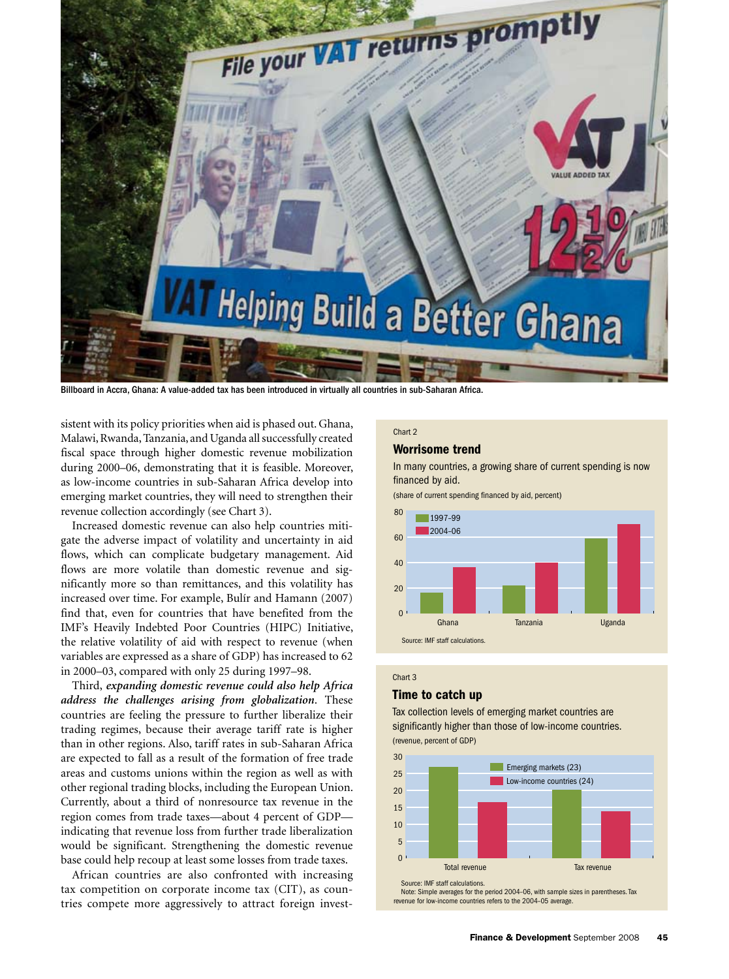

Billboard in Accra, Ghana: A value-added tax has been introduced in virtually all countries in sub-Saharan Africa.

sistent with its policy priorities when aid is phased out. Ghana, Malawi, Rwanda, Tanzania, and Uganda all successfully created fiscal space through higher domestic revenue mobilization during 2000–06, demonstrating that it is feasible. Moreover, as low-income countries in sub-Saharan Africa develop into emerging market countries, they will need to strengthen their revenue collection accordingly (see Chart 3).

Increased domestic revenue can also help countries mitigate the adverse impact of volatility and uncertainty in aid flows, which can complicate budgetary management. Aid flows are more volatile than domestic revenue and significantly more so than remittances, and this volatility has increased over time. For example, Bulír and Hamann (2007) find that, even for countries that have benefited from the IMF's Heavily Indebted Poor Countries (HIPC) Initiative, the relative volatility of aid with respect to revenue (when variables are expressed as a share of GDP) has increased to 62 in 2000–03, compared with only 25 during 1997–98.

Third, *expanding domestic revenue could also help Africa address the challenges arising from globalization*. These countries are feeling the pressure to further liberalize their trading regimes, because their average tariff rate is higher than in other regions. Also, tariff rates in sub-Saharan Africa are expected to fall as a result of the formation of free trade areas and customs unions within the region as well as with other regional trading blocks, including the European Union. Currently, about a third of nonresource tax revenue in the region comes from trade taxes—about 4 percent of GDP indicating that revenue loss from further trade liberalization would be significant. Strengthening the domestic revenue base could help recoup at least some losses from trade taxes.

African countries are also confronted with increasing tax competition on corporate income tax (CIT), as countries compete more aggressively to attract foreign invest-

# Chart 2

# Worrisome trend

In many countries, a growing share of current spending is now financed by aid.

(share of current spending financed by aid, percent)



# Chart 3

# Time to catch up

Tax collection levels of emerging market countries are significantly higher than those of low-income countries. (revenue, percent of GDP)

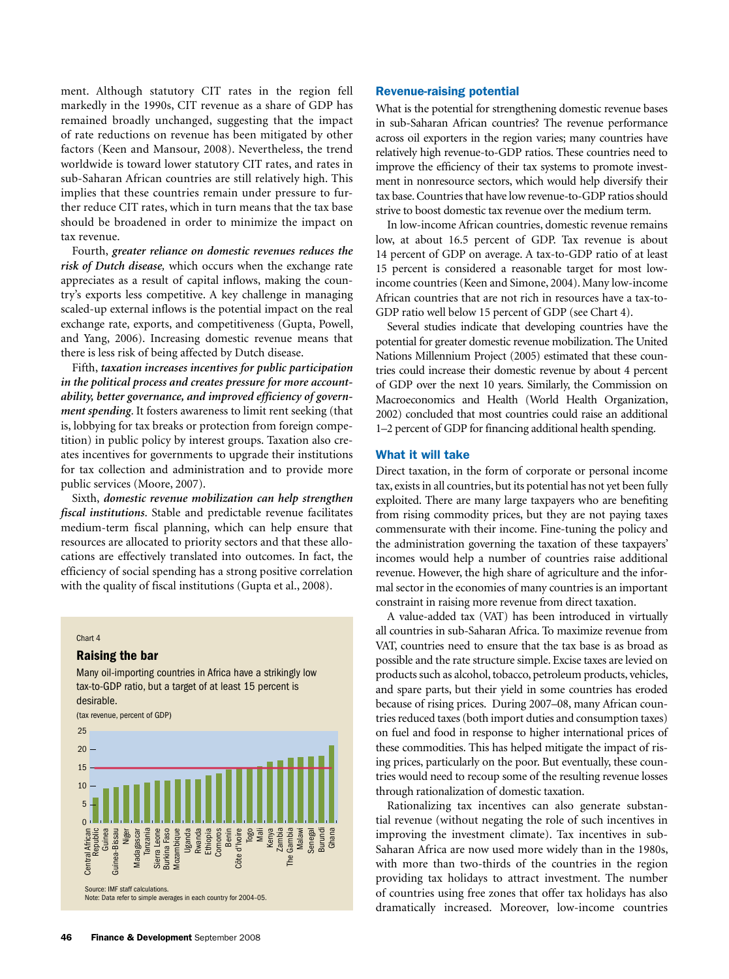ment. Although statutory CIT rates in the region fell markedly in the 1990s, CIT revenue as a share of GDP has remained broadly unchanged, suggesting that the impact of rate reductions on revenue has been mitigated by other factors (Keen and Mansour, 2008). Nevertheless, the trend worldwide is toward lower statutory CIT rates, and rates in sub-Saharan African countries are still relatively high. This implies that these countries remain under pressure to further reduce CIT rates, which in turn means that the tax base should be broadened in order to minimize the impact on tax revenue.

Fourth, *greater reliance on domestic revenues reduces the risk of Dutch disease,* which occurs when the exchange rate appreciates as a result of capital inflows, making the country's exports less competitive. A key challenge in managing scaled-up external inflows is the potential impact on the real exchange rate, exports, and competitiveness (Gupta, Powell, and Yang, 2006). Increasing domestic revenue means that there is less risk of being affected by Dutch disease.

Fifth, *taxation increases incentives for public participation in the political process and creates pressure for more accountability, better governance, and improved efficiency of government spending*. It fosters awareness to limit rent seeking (that is, lobbying for tax breaks or protection from foreign competition) in public policy by interest groups. Taxation also creates incentives for governments to upgrade their institutions for tax collection and administration and to provide more public services (Moore, 2007).

Sixth, *domestic revenue mobilization can help strengthen fiscal institutions*. Stable and predictable revenue facilitates medium-term fiscal planning, which can help ensure that resources are allocated to priority sectors and that these allocations are effectively translated into outcomes. In fact, the efficiency of social spending has a strong positive correlation with the quality of fiscal institutions (Gupta et al., 2008).

#### Chart 4

# Raising the bar

Many oil-importing countries in Africa have a strikingly low tax-to-GDP ratio, but a target of at least 15 percent is desirable.

(tax revenue, percent of GDP)



# Revenue-raising potential

What is the potential for strengthening domestic revenue bases in sub-Saharan African countries? The revenue performance across oil exporters in the region varies; many countries have relatively high revenue-to-GDP ratios. These countries need to improve the efficiency of their tax systems to promote investment in nonresource sectors, which would help diversify their tax base. Countries that have low revenue-to-GDP ratios should strive to boost domestic tax revenue over the medium term.

In low-income African countries, domestic revenue remains low, at about 16.5 percent of GDP. Tax revenue is about 14 percent of GDP on average. A tax-to-GDP ratio of at least 15 percent is considered a reasonable target for most lowincome countries (Keen and Simone, 2004). Many low-income African countries that are not rich in resources have a tax-to-GDP ratio well below 15 percent of GDP (see Chart 4).

Several studies indicate that developing countries have the potential for greater domestic revenue mobilization. The United Nations Millennium Project (2005) estimated that these countries could increase their domestic revenue by about 4 percent of GDP over the next 10 years. Similarly, the Commission on Macroeconomics and Health (World Health Organization, 2002) concluded that most countries could raise an additional 1–2 percent of GDP for financing additional health spending.

# What it will take

Direct taxation, in the form of corporate or personal income tax, exists in all countries, but its potential has not yet been fully exploited. There are many large taxpayers who are benefiting from rising commodity prices, but they are not paying taxes commensurate with their income. Fine-tuning the policy and the administration governing the taxation of these taxpayers' incomes would help a number of countries raise additional revenue. However, the high share of agriculture and the informal sector in the economies of many countries is an important constraint in raising more revenue from direct taxation.

A value-added tax (VAT) has been introduced in virtually all countries in sub-Saharan Africa. To maximize revenue from VAT, countries need to ensure that the tax base is as broad as possible and the rate structure simple. Excise taxes are levied on products such as alcohol, tobacco, petroleum products, vehicles, and spare parts, but their yield in some countries has eroded because of rising prices. During 2007–08, many African countries reduced taxes (both import duties and consumption taxes) on fuel and food in response to higher international prices of these commodities. This has helped mitigate the impact of rising prices, particularly on the poor. But eventually, these countries would need to recoup some of the resulting revenue losses through rationalization of domestic taxation.

Rationalizing tax incentives can also generate substantial revenue (without negating the role of such incentives in improving the investment climate). Tax incentives in sub-Saharan Africa are now used more widely than in the 1980s, with more than two-thirds of the countries in the region providing tax holidays to attract investment. The number of countries using free zones that offer tax holidays has also dramatically increased. Moreover, low-income countries